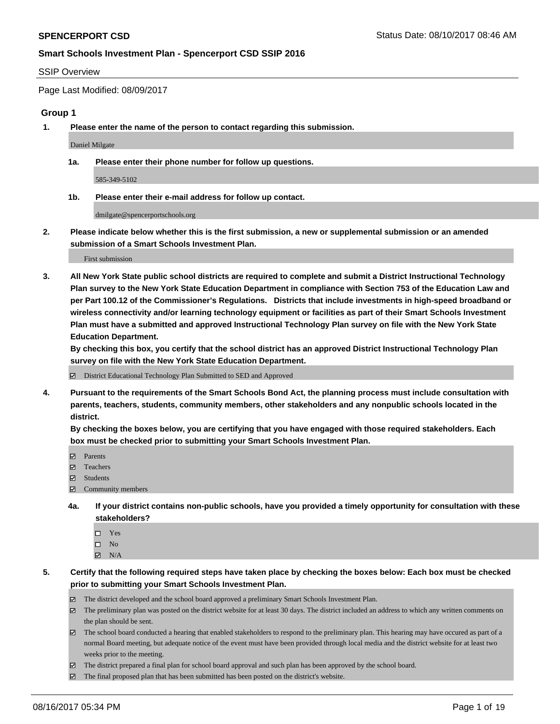#### SSIP Overview

Page Last Modified: 08/09/2017

#### **Group 1**

**1. Please enter the name of the person to contact regarding this submission.**

Daniel Milgate

**1a. Please enter their phone number for follow up questions.**

585-349-5102

**1b. Please enter their e-mail address for follow up contact.**

dmilgate@spencerportschools.org

**2. Please indicate below whether this is the first submission, a new or supplemental submission or an amended submission of a Smart Schools Investment Plan.**

First submission

**3. All New York State public school districts are required to complete and submit a District Instructional Technology Plan survey to the New York State Education Department in compliance with Section 753 of the Education Law and per Part 100.12 of the Commissioner's Regulations. Districts that include investments in high-speed broadband or wireless connectivity and/or learning technology equipment or facilities as part of their Smart Schools Investment Plan must have a submitted and approved Instructional Technology Plan survey on file with the New York State Education Department.** 

**By checking this box, you certify that the school district has an approved District Instructional Technology Plan survey on file with the New York State Education Department.**

District Educational Technology Plan Submitted to SED and Approved

**4. Pursuant to the requirements of the Smart Schools Bond Act, the planning process must include consultation with parents, teachers, students, community members, other stakeholders and any nonpublic schools located in the district.** 

**By checking the boxes below, you are certifying that you have engaged with those required stakeholders. Each box must be checked prior to submitting your Smart Schools Investment Plan.**

- **マ** Parents
- □ Teachers
- Students
- $\Xi$  Community members
- **4a. If your district contains non-public schools, have you provided a timely opportunity for consultation with these stakeholders?**
	- Yes
	- $\hfill \square$  No
	- $\boxtimes$  N/A
- **5. Certify that the following required steps have taken place by checking the boxes below: Each box must be checked prior to submitting your Smart Schools Investment Plan.**
	- The district developed and the school board approved a preliminary Smart Schools Investment Plan.
	- $\boxtimes$  The preliminary plan was posted on the district website for at least 30 days. The district included an address to which any written comments on the plan should be sent.
	- $\boxtimes$  The school board conducted a hearing that enabled stakeholders to respond to the preliminary plan. This hearing may have occured as part of a normal Board meeting, but adequate notice of the event must have been provided through local media and the district website for at least two weeks prior to the meeting.
	- The district prepared a final plan for school board approval and such plan has been approved by the school board.
	- $\boxtimes$  The final proposed plan that has been submitted has been posted on the district's website.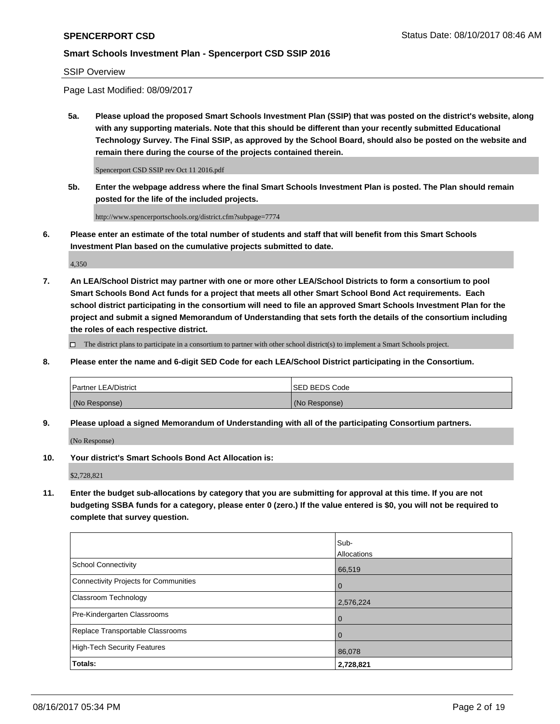#### SSIP Overview

Page Last Modified: 08/09/2017

**5a. Please upload the proposed Smart Schools Investment Plan (SSIP) that was posted on the district's website, along with any supporting materials. Note that this should be different than your recently submitted Educational Technology Survey. The Final SSIP, as approved by the School Board, should also be posted on the website and remain there during the course of the projects contained therein.**

Spencerport CSD SSIP rev Oct 11 2016.pdf

**5b. Enter the webpage address where the final Smart Schools Investment Plan is posted. The Plan should remain posted for the life of the included projects.**

http://www.spencerportschools.org/district.cfm?subpage=7774

**6. Please enter an estimate of the total number of students and staff that will benefit from this Smart Schools Investment Plan based on the cumulative projects submitted to date.**

4,350

**7. An LEA/School District may partner with one or more other LEA/School Districts to form a consortium to pool Smart Schools Bond Act funds for a project that meets all other Smart School Bond Act requirements. Each school district participating in the consortium will need to file an approved Smart Schools Investment Plan for the project and submit a signed Memorandum of Understanding that sets forth the details of the consortium including the roles of each respective district.**

 $\Box$  The district plans to participate in a consortium to partner with other school district(s) to implement a Smart Schools project.

**8. Please enter the name and 6-digit SED Code for each LEA/School District participating in the Consortium.**

| <b>Partner LEA/District</b> | <b>ISED BEDS Code</b> |
|-----------------------------|-----------------------|
| (No Response)               | (No Response)         |

**9. Please upload a signed Memorandum of Understanding with all of the participating Consortium partners.**

(No Response)

**10. Your district's Smart Schools Bond Act Allocation is:**

\$2,728,821

**11. Enter the budget sub-allocations by category that you are submitting for approval at this time. If you are not budgeting SSBA funds for a category, please enter 0 (zero.) If the value entered is \$0, you will not be required to complete that survey question.**

|                                              | Sub-        |
|----------------------------------------------|-------------|
|                                              | Allocations |
| <b>School Connectivity</b>                   | 66,519      |
| <b>Connectivity Projects for Communities</b> | $\mathbf 0$ |
| <b>Classroom Technology</b>                  | 2,576,224   |
| Pre-Kindergarten Classrooms                  | 0           |
| Replace Transportable Classrooms             | 0           |
| <b>High-Tech Security Features</b>           | 86,078      |
| Totals:                                      | 2,728,821   |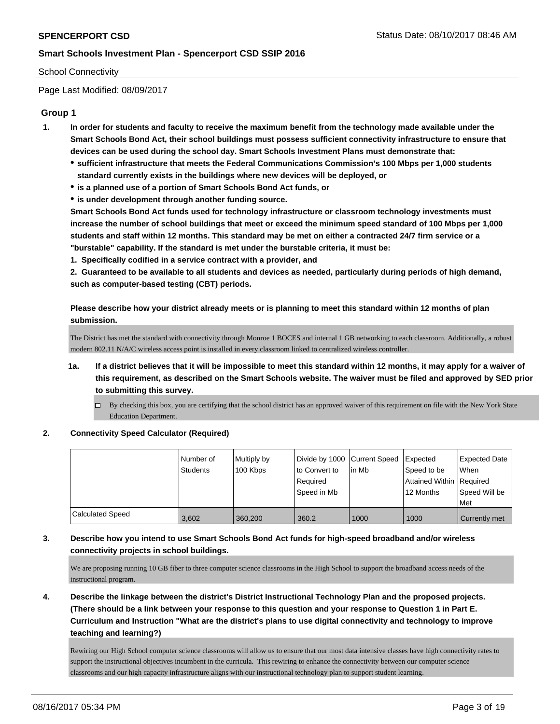### School Connectivity

Page Last Modified: 08/09/2017

# **Group 1**

- **1. In order for students and faculty to receive the maximum benefit from the technology made available under the Smart Schools Bond Act, their school buildings must possess sufficient connectivity infrastructure to ensure that devices can be used during the school day. Smart Schools Investment Plans must demonstrate that:**
	- **sufficient infrastructure that meets the Federal Communications Commission's 100 Mbps per 1,000 students standard currently exists in the buildings where new devices will be deployed, or**
	- **is a planned use of a portion of Smart Schools Bond Act funds, or**
	- **is under development through another funding source.**

**Smart Schools Bond Act funds used for technology infrastructure or classroom technology investments must increase the number of school buildings that meet or exceed the minimum speed standard of 100 Mbps per 1,000 students and staff within 12 months. This standard may be met on either a contracted 24/7 firm service or a "burstable" capability. If the standard is met under the burstable criteria, it must be:**

**1. Specifically codified in a service contract with a provider, and**

**2. Guaranteed to be available to all students and devices as needed, particularly during periods of high demand, such as computer-based testing (CBT) periods.**

**Please describe how your district already meets or is planning to meet this standard within 12 months of plan submission.**

The District has met the standard with connectivity through Monroe 1 BOCES and internal 1 GB networking to each classroom. Additionally, a robust modern 802.11 N/A/C wireless access point is installed in every classroom linked to centralized wireless controller.

- **1a. If a district believes that it will be impossible to meet this standard within 12 months, it may apply for a waiver of this requirement, as described on the Smart Schools website. The waiver must be filed and approved by SED prior to submitting this survey.**
	- By checking this box, you are certifying that the school district has an approved waiver of this requirement on file with the New York State Education Department.
- **2. Connectivity Speed Calculator (Required)**

|                         | Number of<br>Students | Multiply by<br>100 Kbps | Divide by 1000 Current Speed<br>to Convert to<br>Required<br>Speed in Mb | l in Mb | Expected<br>Speed to be<br>Attained Within Required<br>12 Months | Expected Date<br><b>When</b><br>Speed Will be<br>Met |
|-------------------------|-----------------------|-------------------------|--------------------------------------------------------------------------|---------|------------------------------------------------------------------|------------------------------------------------------|
| <b>Calculated Speed</b> | 3,602                 | 360,200                 | 360.2                                                                    | 1000    | 1000                                                             | Currently met                                        |

# **3. Describe how you intend to use Smart Schools Bond Act funds for high-speed broadband and/or wireless connectivity projects in school buildings.**

We are proposing running 10 GB fiber to three computer science classrooms in the High School to support the broadband access needs of the instructional program.

**4. Describe the linkage between the district's District Instructional Technology Plan and the proposed projects. (There should be a link between your response to this question and your response to Question 1 in Part E. Curriculum and Instruction "What are the district's plans to use digital connectivity and technology to improve teaching and learning?)**

Rewiring our High School computer science classrooms will allow us to ensure that our most data intensive classes have high connectivity rates to support the instructional objectives incumbent in the curricula. This rewiring to enhance the connectivity between our computer science classrooms and our high capacity infrastructure aligns with our instructional technology plan to support student learning.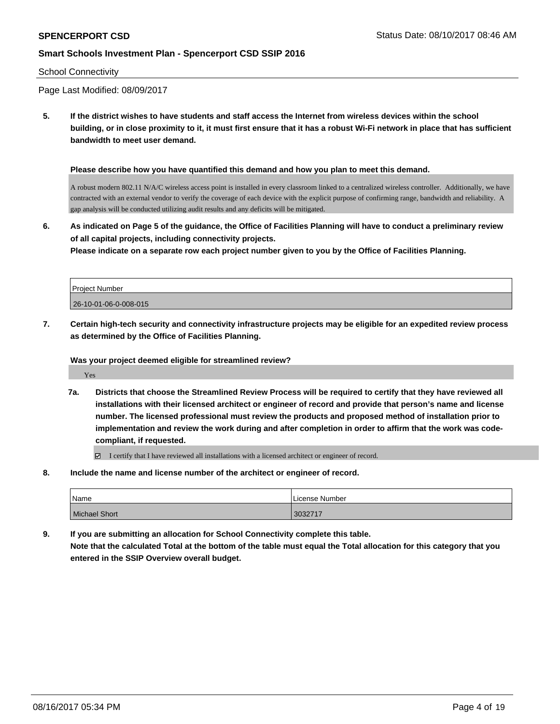#### School Connectivity

Page Last Modified: 08/09/2017

**5. If the district wishes to have students and staff access the Internet from wireless devices within the school building, or in close proximity to it, it must first ensure that it has a robust Wi-Fi network in place that has sufficient bandwidth to meet user demand.**

**Please describe how you have quantified this demand and how you plan to meet this demand.**

A robust modern 802.11 N/A/C wireless access point is installed in every classroom linked to a centralized wireless controller. Additionally, we have contracted with an external vendor to verify the coverage of each device with the explicit purpose of confirming range, bandwidth and reliability. A gap analysis will be conducted utilizing audit results and any deficits will be mitigated.

**6. As indicated on Page 5 of the guidance, the Office of Facilities Planning will have to conduct a preliminary review of all capital projects, including connectivity projects. Please indicate on a separate row each project number given to you by the Office of Facilities Planning.**

Project Number 26-10-01-06-0-008-015

**7. Certain high-tech security and connectivity infrastructure projects may be eligible for an expedited review process as determined by the Office of Facilities Planning.**

**Was your project deemed eligible for streamlined review?**

Yes

- **7a. Districts that choose the Streamlined Review Process will be required to certify that they have reviewed all installations with their licensed architect or engineer of record and provide that person's name and license number. The licensed professional must review the products and proposed method of installation prior to implementation and review the work during and after completion in order to affirm that the work was codecompliant, if requested.**
	- $\boxtimes$  I certify that I have reviewed all installations with a licensed architect or engineer of record.
- **8. Include the name and license number of the architect or engineer of record.**

| <sup>1</sup> Name    | License Number |
|----------------------|----------------|
| <b>Michael Short</b> | 3032717        |

**9. If you are submitting an allocation for School Connectivity complete this table. Note that the calculated Total at the bottom of the table must equal the Total allocation for this category that you entered in the SSIP Overview overall budget.**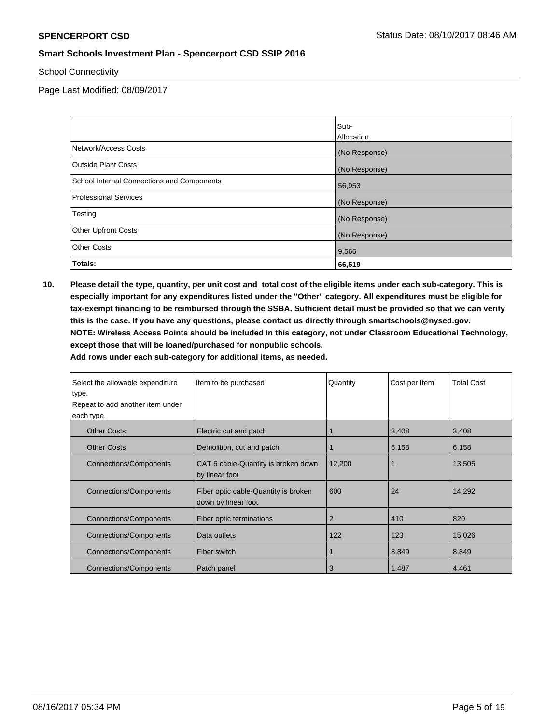School Connectivity

Page Last Modified: 08/09/2017

|                                            | Sub-          |
|--------------------------------------------|---------------|
|                                            | Allocation    |
| Network/Access Costs                       | (No Response) |
| <b>Outside Plant Costs</b>                 | (No Response) |
| School Internal Connections and Components | 56,953        |
| <b>Professional Services</b>               | (No Response) |
| Testing                                    | (No Response) |
| <b>Other Upfront Costs</b>                 | (No Response) |
| <b>Other Costs</b>                         | 9,566         |
| Totals:                                    | 66,519        |

**10. Please detail the type, quantity, per unit cost and total cost of the eligible items under each sub-category. This is especially important for any expenditures listed under the "Other" category. All expenditures must be eligible for tax-exempt financing to be reimbursed through the SSBA. Sufficient detail must be provided so that we can verify this is the case. If you have any questions, please contact us directly through smartschools@nysed.gov. NOTE: Wireless Access Points should be included in this category, not under Classroom Educational Technology, except those that will be loaned/purchased for nonpublic schools.**

| Select the allowable expenditure | Item to be purchased                                        | Quantity       | Cost per Item | <b>Total Cost</b> |
|----------------------------------|-------------------------------------------------------------|----------------|---------------|-------------------|
| type.                            |                                                             |                |               |                   |
| Repeat to add another item under |                                                             |                |               |                   |
| each type.                       |                                                             |                |               |                   |
| <b>Other Costs</b>               | Electric cut and patch                                      |                | 3,408         | 3,408             |
| <b>Other Costs</b>               | Demolition, cut and patch                                   |                | 6,158         | 6,158             |
| Connections/Components           | CAT 6 cable-Quantity is broken down<br>by linear foot       | 12,200         |               | 13,505            |
| Connections/Components           | Fiber optic cable-Quantity is broken<br>down by linear foot | 600            | 24            | 14.292            |
| Connections/Components           | Fiber optic terminations                                    | $\overline{2}$ | 410           | 820               |
| Connections/Components           | Data outlets                                                | 122            | 123           | 15,026            |
| Connections/Components           | Fiber switch                                                |                | 8,849         | 8,849             |
| <b>Connections/Components</b>    | Patch panel                                                 | 3              | 1,487         | 4,461             |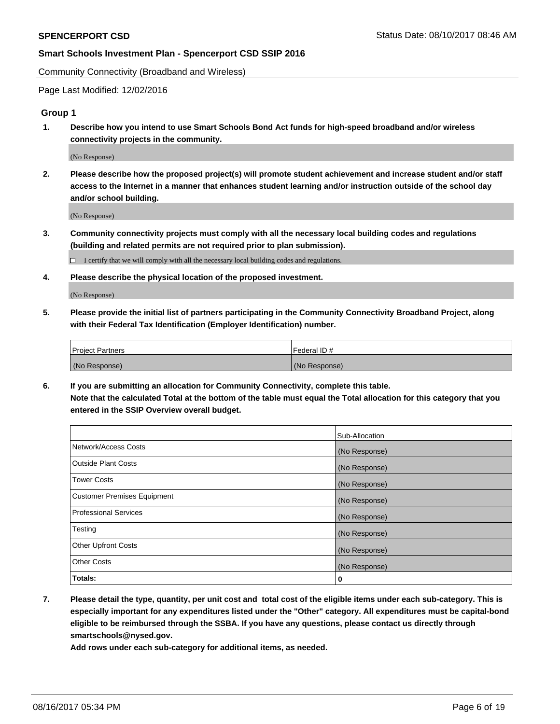Community Connectivity (Broadband and Wireless)

Page Last Modified: 12/02/2016

#### **Group 1**

**1. Describe how you intend to use Smart Schools Bond Act funds for high-speed broadband and/or wireless connectivity projects in the community.**

(No Response)

**2. Please describe how the proposed project(s) will promote student achievement and increase student and/or staff access to the Internet in a manner that enhances student learning and/or instruction outside of the school day and/or school building.**

(No Response)

**3. Community connectivity projects must comply with all the necessary local building codes and regulations (building and related permits are not required prior to plan submission).**

 $\Box$  I certify that we will comply with all the necessary local building codes and regulations.

**4. Please describe the physical location of the proposed investment.**

(No Response)

**5. Please provide the initial list of partners participating in the Community Connectivity Broadband Project, along with their Federal Tax Identification (Employer Identification) number.**

| <b>Project Partners</b> | Federal ID#     |
|-------------------------|-----------------|
| (No Response)           | l (No Response) |

**6. If you are submitting an allocation for Community Connectivity, complete this table. Note that the calculated Total at the bottom of the table must equal the Total allocation for this category that you entered in the SSIP Overview overall budget.**

|                                    | Sub-Allocation |
|------------------------------------|----------------|
| Network/Access Costs               | (No Response)  |
| Outside Plant Costs                | (No Response)  |
| <b>Tower Costs</b>                 | (No Response)  |
| <b>Customer Premises Equipment</b> | (No Response)  |
| <b>Professional Services</b>       | (No Response)  |
| Testing                            | (No Response)  |
| <b>Other Upfront Costs</b>         | (No Response)  |
| <b>Other Costs</b>                 | (No Response)  |
| Totals:                            | 0              |

**7. Please detail the type, quantity, per unit cost and total cost of the eligible items under each sub-category. This is especially important for any expenditures listed under the "Other" category. All expenditures must be capital-bond eligible to be reimbursed through the SSBA. If you have any questions, please contact us directly through smartschools@nysed.gov.**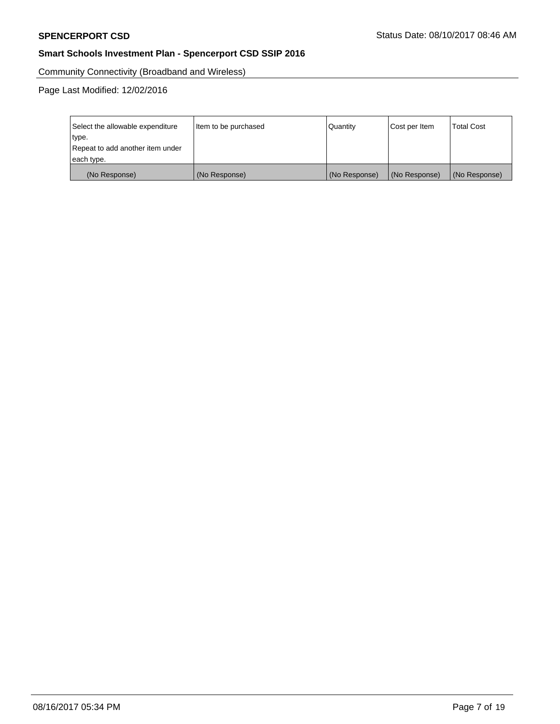Community Connectivity (Broadband and Wireless)

Page Last Modified: 12/02/2016

| Select the allowable expenditure<br>type.<br>Repeat to add another item under | Item to be purchased | Quantity      | Cost per Item | <b>Total Cost</b> |
|-------------------------------------------------------------------------------|----------------------|---------------|---------------|-------------------|
| each type.                                                                    |                      |               |               |                   |
| (No Response)                                                                 | (No Response)        | (No Response) | (No Response) | (No Response)     |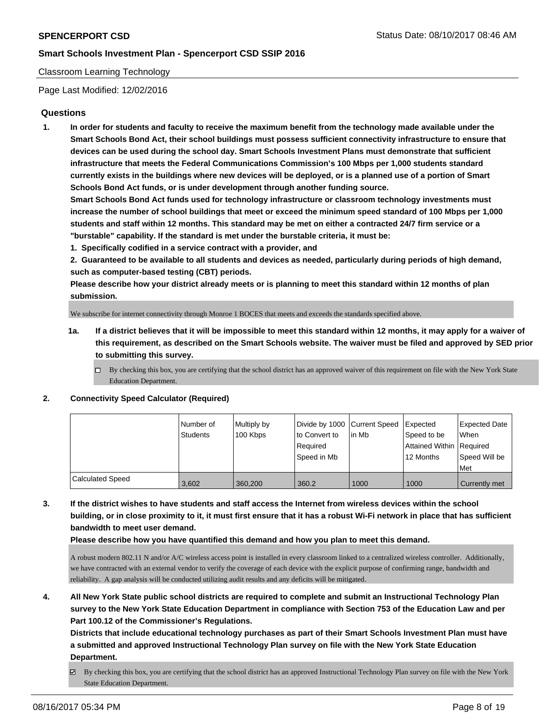### Classroom Learning Technology

Page Last Modified: 12/02/2016

## **Questions**

**1. In order for students and faculty to receive the maximum benefit from the technology made available under the Smart Schools Bond Act, their school buildings must possess sufficient connectivity infrastructure to ensure that devices can be used during the school day. Smart Schools Investment Plans must demonstrate that sufficient infrastructure that meets the Federal Communications Commission's 100 Mbps per 1,000 students standard currently exists in the buildings where new devices will be deployed, or is a planned use of a portion of Smart Schools Bond Act funds, or is under development through another funding source.**

**Smart Schools Bond Act funds used for technology infrastructure or classroom technology investments must increase the number of school buildings that meet or exceed the minimum speed standard of 100 Mbps per 1,000 students and staff within 12 months. This standard may be met on either a contracted 24/7 firm service or a "burstable" capability. If the standard is met under the burstable criteria, it must be:**

**1. Specifically codified in a service contract with a provider, and**

**2. Guaranteed to be available to all students and devices as needed, particularly during periods of high demand, such as computer-based testing (CBT) periods.**

**Please describe how your district already meets or is planning to meet this standard within 12 months of plan submission.**

We subscribe for internet connectivity through Monroe 1 BOCES that meets and exceeds the standards specified above.

- **1a. If a district believes that it will be impossible to meet this standard within 12 months, it may apply for a waiver of this requirement, as described on the Smart Schools website. The waiver must be filed and approved by SED prior to submitting this survey.**
	- $\Box$  By checking this box, you are certifying that the school district has an approved waiver of this requirement on file with the New York State Education Department.

#### **2. Connectivity Speed Calculator (Required)**

|                         | Number of<br>Students | Multiply by<br>100 Kbps | Divide by 1000 Current Speed<br>to Convert to<br>Reauired<br>Speed in Mb | in Mb | Expected<br>Speed to be<br>Attained Within   Required<br>12 Months | Expected Date<br>When<br>Speed Will be<br>Met |
|-------------------------|-----------------------|-------------------------|--------------------------------------------------------------------------|-------|--------------------------------------------------------------------|-----------------------------------------------|
| <b>Calculated Speed</b> | 3,602                 | 360,200                 | 360.2                                                                    | 1000  | 1000                                                               | Currently met                                 |

**3. If the district wishes to have students and staff access the Internet from wireless devices within the school building, or in close proximity to it, it must first ensure that it has a robust Wi-Fi network in place that has sufficient bandwidth to meet user demand.**

**Please describe how you have quantified this demand and how you plan to meet this demand.**

A robust modern 802.11 N and/or A/C wireless access point is installed in every classroom linked to a centralized wireless controller. Additionally, we have contracted with an external vendor to verify the coverage of each device with the explicit purpose of confirming range, bandwidth and reliability. A gap analysis will be conducted utilizing audit results and any deficits will be mitigated.

**4. All New York State public school districts are required to complete and submit an Instructional Technology Plan survey to the New York State Education Department in compliance with Section 753 of the Education Law and per Part 100.12 of the Commissioner's Regulations.**

**Districts that include educational technology purchases as part of their Smart Schools Investment Plan must have a submitted and approved Instructional Technology Plan survey on file with the New York State Education Department.**

By checking this box, you are certifying that the school district has an approved Instructional Technology Plan survey on file with the New York State Education Department.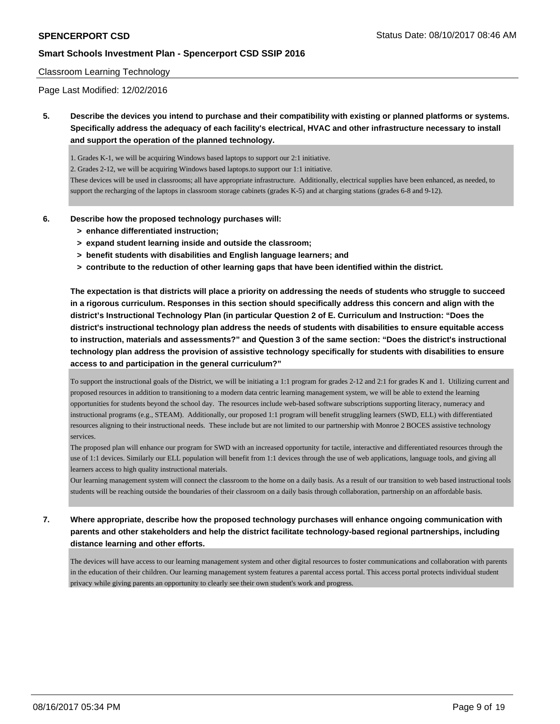### Classroom Learning Technology

Page Last Modified: 12/02/2016

**5. Describe the devices you intend to purchase and their compatibility with existing or planned platforms or systems. Specifically address the adequacy of each facility's electrical, HVAC and other infrastructure necessary to install and support the operation of the planned technology.**

1. Grades K-1, we will be acquiring Windows based laptops to support our 2:1 initiative.

2. Grades 2-12, we will be acquiring Windows based laptops.to support our 1:1 initiative.

These devices will be used in classrooms; all have appropriate infrastructure. Additionally, electrical supplies have been enhanced, as needed, to support the recharging of the laptops in classroom storage cabinets (grades K-5) and at charging stations (grades 6-8 and 9-12).

- **6. Describe how the proposed technology purchases will:**
	- **> enhance differentiated instruction;**
	- **> expand student learning inside and outside the classroom;**
	- **> benefit students with disabilities and English language learners; and**
	- **> contribute to the reduction of other learning gaps that have been identified within the district.**

**The expectation is that districts will place a priority on addressing the needs of students who struggle to succeed in a rigorous curriculum. Responses in this section should specifically address this concern and align with the district's Instructional Technology Plan (in particular Question 2 of E. Curriculum and Instruction: "Does the district's instructional technology plan address the needs of students with disabilities to ensure equitable access to instruction, materials and assessments?" and Question 3 of the same section: "Does the district's instructional technology plan address the provision of assistive technology specifically for students with disabilities to ensure access to and participation in the general curriculum?"**

To support the instructional goals of the District, we will be initiating a 1:1 program for grades 2-12 and 2:1 for grades K and 1. Utilizing current and proposed resources in addition to transitioning to a modern data centric learning management system, we will be able to extend the learning opportunities for students beyond the school day. The resources include web-based software subscriptions supporting literacy, numeracy and instructional programs (e.g., STEAM). Additionally, our proposed 1:1 program will benefit struggling learners (SWD, ELL) with differentiated resources aligning to their instructional needs. These include but are not limited to our partnership with Monroe 2 BOCES assistive technology services.

The proposed plan will enhance our program for SWD with an increased opportunity for tactile, interactive and differentiated resources through the use of 1:1 devices. Similarly our ELL population will benefit from 1:1 devices through the use of web applications, language tools, and giving all learners access to high quality instructional materials.

Our learning management system will connect the classroom to the home on a daily basis. As a result of our transition to web based instructional tools students will be reaching outside the boundaries of their classroom on a daily basis through collaboration, partnership on an affordable basis.

**7. Where appropriate, describe how the proposed technology purchases will enhance ongoing communication with parents and other stakeholders and help the district facilitate technology-based regional partnerships, including distance learning and other efforts.**

The devices will have access to our learning management system and other digital resources to foster communications and collaboration with parents in the education of their children. Our learning management system features a parental access portal. This access portal protects individual student privacy while giving parents an opportunity to clearly see their own student's work and progress.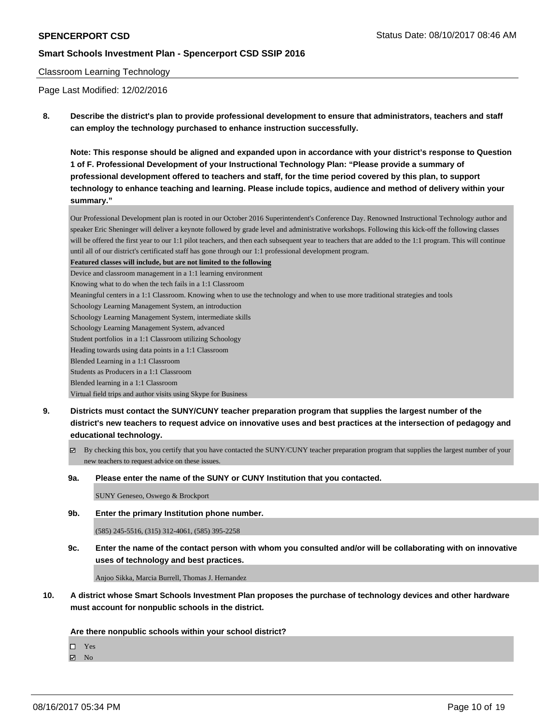#### Classroom Learning Technology

Page Last Modified: 12/02/2016

**8. Describe the district's plan to provide professional development to ensure that administrators, teachers and staff can employ the technology purchased to enhance instruction successfully.**

**Note: This response should be aligned and expanded upon in accordance with your district's response to Question 1 of F. Professional Development of your Instructional Technology Plan: "Please provide a summary of professional development offered to teachers and staff, for the time period covered by this plan, to support technology to enhance teaching and learning. Please include topics, audience and method of delivery within your summary."**

Our Professional Development plan is rooted in our October 2016 Superintendent's Conference Day. Renowned Instructional Technology author and speaker Eric Sheninger will deliver a keynote followed by grade level and administrative workshops. Following this kick-off the following classes will be offered the first year to our 1:1 pilot teachers, and then each subsequent year to teachers that are added to the 1:1 program. This will continue until all of our district's certificated staff has gone through our 1:1 professional development program.

**Featured classes will include, but are not limited to the following** Device and classroom management in a 1:1 learning environment Knowing what to do when the tech fails in a 1:1 Classroom Meaningful centers in a 1:1 Classroom. Knowing when to use the technology and when to use more traditional strategies and tools Schoology Learning Management System, an introduction Schoology Learning Management System, intermediate skills Schoology Learning Management System, advanced Student portfolios in a 1:1 Classroom utilizing Schoology Heading towards using data points in a 1:1 Classroom Blended Learning in a 1:1 Classroom Students as Producers in a 1:1 Classroom Blended learning in a 1:1 Classroom

Virtual field trips and author visits using Skype for Business

- **9. Districts must contact the SUNY/CUNY teacher preparation program that supplies the largest number of the district's new teachers to request advice on innovative uses and best practices at the intersection of pedagogy and educational technology.**
	- $\boxtimes$  By checking this box, you certify that you have contacted the SUNY/CUNY teacher preparation program that supplies the largest number of your new teachers to request advice on these issues.
	- **9a. Please enter the name of the SUNY or CUNY Institution that you contacted.**

SUNY Geneseo, Oswego & Brockport

**9b. Enter the primary Institution phone number.**

(585) 245-5516, (315) 312-4061, (585) 395-2258

**9c. Enter the name of the contact person with whom you consulted and/or will be collaborating with on innovative uses of technology and best practices.**

Anjoo Sikka, Marcia Burrell, Thomas J. Hernandez

**10. A district whose Smart Schools Investment Plan proposes the purchase of technology devices and other hardware must account for nonpublic schools in the district.**

**Are there nonpublic schools within your school district?**

Yes

 $\boxtimes$  No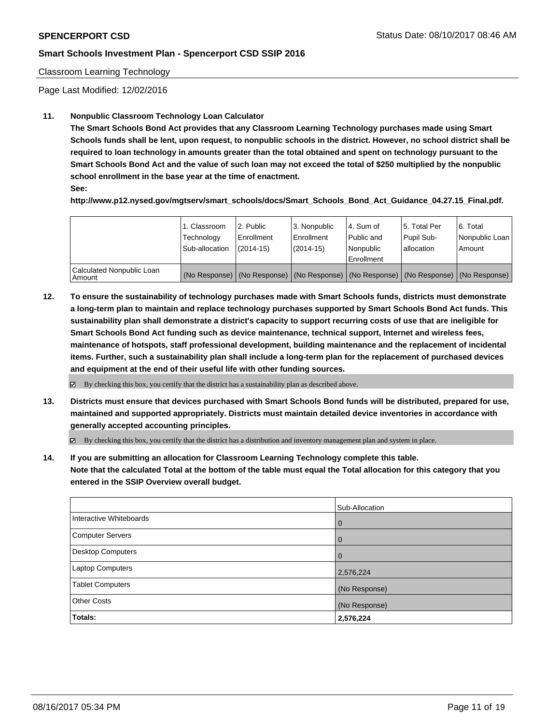### Classroom Learning Technology

Page Last Modified: 12/02/2016

## **11. Nonpublic Classroom Technology Loan Calculator**

**The Smart Schools Bond Act provides that any Classroom Learning Technology purchases made using Smart Schools funds shall be lent, upon request, to nonpublic schools in the district. However, no school district shall be required to loan technology in amounts greater than the total obtained and spent on technology pursuant to the Smart Schools Bond Act and the value of such loan may not exceed the total of \$250 multiplied by the nonpublic school enrollment in the base year at the time of enactment.**

**See:**

**http://www.p12.nysed.gov/mgtserv/smart\_schools/docs/Smart\_Schools\_Bond\_Act\_Guidance\_04.27.15\_Final.pdf.**

|                                       | 1. Classroom<br>Technology<br>Sub-allocation | 2. Public<br>Enrollment<br>$(2014-15)$ | 3. Nonpublic<br>Enrollment<br>$(2014-15)$ | l 4. Sum of<br>l Public and<br>l Nonpublic<br>l Enrollment | 15. Total Per<br>Pupil Sub-<br>lallocation | 6. Total<br>Nonpublic Loan  <br>Amount                                                        |
|---------------------------------------|----------------------------------------------|----------------------------------------|-------------------------------------------|------------------------------------------------------------|--------------------------------------------|-----------------------------------------------------------------------------------------------|
| Calculated Nonpublic Loan<br>l Amount |                                              |                                        |                                           |                                                            |                                            | (No Response)   (No Response)   (No Response)   (No Response)   (No Response)   (No Response) |

**12. To ensure the sustainability of technology purchases made with Smart Schools funds, districts must demonstrate a long-term plan to maintain and replace technology purchases supported by Smart Schools Bond Act funds. This sustainability plan shall demonstrate a district's capacity to support recurring costs of use that are ineligible for Smart Schools Bond Act funding such as device maintenance, technical support, Internet and wireless fees, maintenance of hotspots, staff professional development, building maintenance and the replacement of incidental items. Further, such a sustainability plan shall include a long-term plan for the replacement of purchased devices and equipment at the end of their useful life with other funding sources.**

 $\boxtimes$  By checking this box, you certify that the district has a sustainability plan as described above.

**13. Districts must ensure that devices purchased with Smart Schools Bond funds will be distributed, prepared for use, maintained and supported appropriately. Districts must maintain detailed device inventories in accordance with generally accepted accounting principles.**

By checking this box, you certify that the district has a distribution and inventory management plan and system in place.

**14. If you are submitting an allocation for Classroom Learning Technology complete this table. Note that the calculated Total at the bottom of the table must equal the Total allocation for this category that you entered in the SSIP Overview overall budget.**

|                         | Sub-Allocation |
|-------------------------|----------------|
| Interactive Whiteboards | 0              |
| Computer Servers        | l 0            |
| Desktop Computers       | $\overline{0}$ |
| Laptop Computers        | 2,576,224      |
| <b>Tablet Computers</b> | (No Response)  |
| <b>Other Costs</b>      | (No Response)  |
| Totals:                 | 2,576,224      |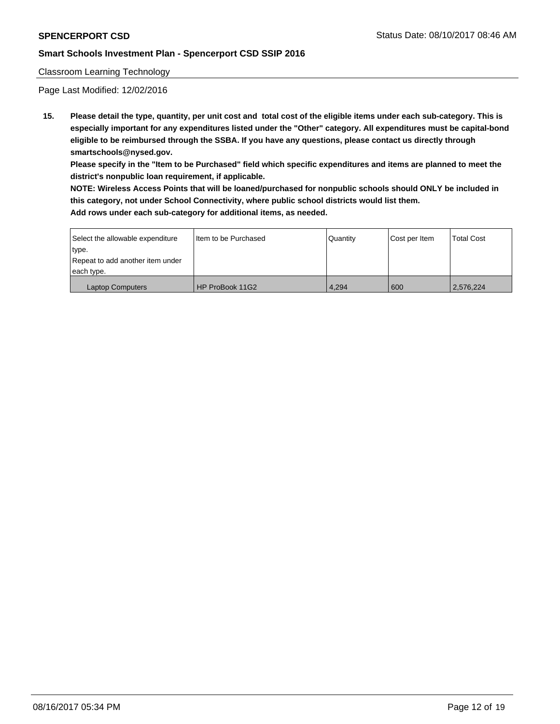### Classroom Learning Technology

Page Last Modified: 12/02/2016

**15. Please detail the type, quantity, per unit cost and total cost of the eligible items under each sub-category. This is especially important for any expenditures listed under the "Other" category. All expenditures must be capital-bond eligible to be reimbursed through the SSBA. If you have any questions, please contact us directly through smartschools@nysed.gov.**

**Please specify in the "Item to be Purchased" field which specific expenditures and items are planned to meet the district's nonpublic loan requirement, if applicable.**

**NOTE: Wireless Access Points that will be loaned/purchased for nonpublic schools should ONLY be included in this category, not under School Connectivity, where public school districts would list them. Add rows under each sub-category for additional items, as needed.**

| Select the allowable expenditure | I Item to be Purchased | Quantity | Cost per Item | <b>Total Cost</b> |
|----------------------------------|------------------------|----------|---------------|-------------------|
| type.                            |                        |          |               |                   |
| Repeat to add another item under |                        |          |               |                   |
| each type.                       |                        |          |               |                   |
| Laptop Computers                 | HP ProBook 11G2        | 4.294    | 600           | 2,576,224         |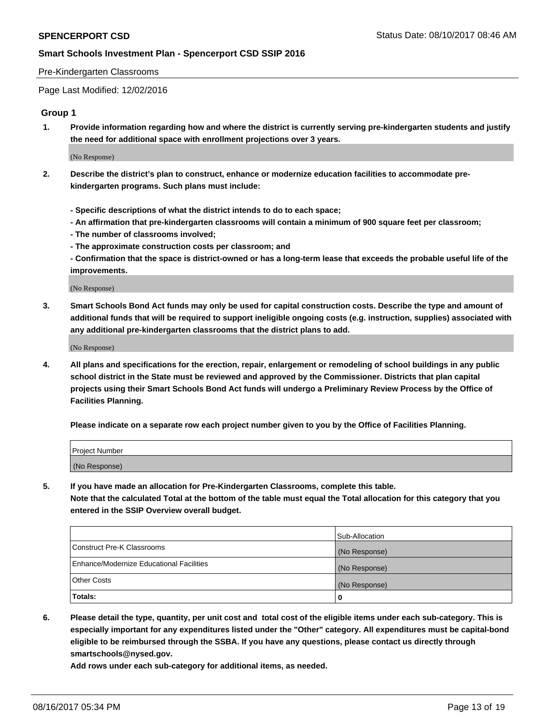#### Pre-Kindergarten Classrooms

Page Last Modified: 12/02/2016

#### **Group 1**

**1. Provide information regarding how and where the district is currently serving pre-kindergarten students and justify the need for additional space with enrollment projections over 3 years.**

(No Response)

- **2. Describe the district's plan to construct, enhance or modernize education facilities to accommodate prekindergarten programs. Such plans must include:**
	- **Specific descriptions of what the district intends to do to each space;**
	- **An affirmation that pre-kindergarten classrooms will contain a minimum of 900 square feet per classroom;**
	- **The number of classrooms involved;**
	- **The approximate construction costs per classroom; and**
	- **Confirmation that the space is district-owned or has a long-term lease that exceeds the probable useful life of the improvements.**

(No Response)

**3. Smart Schools Bond Act funds may only be used for capital construction costs. Describe the type and amount of additional funds that will be required to support ineligible ongoing costs (e.g. instruction, supplies) associated with any additional pre-kindergarten classrooms that the district plans to add.**

(No Response)

**4. All plans and specifications for the erection, repair, enlargement or remodeling of school buildings in any public school district in the State must be reviewed and approved by the Commissioner. Districts that plan capital projects using their Smart Schools Bond Act funds will undergo a Preliminary Review Process by the Office of Facilities Planning.**

**Please indicate on a separate row each project number given to you by the Office of Facilities Planning.**

| Project Number |  |
|----------------|--|
| (No Response)  |  |

**5. If you have made an allocation for Pre-Kindergarten Classrooms, complete this table. Note that the calculated Total at the bottom of the table must equal the Total allocation for this category that you entered in the SSIP Overview overall budget.**

| Totals:                                  | 0              |
|------------------------------------------|----------------|
| Other Costs                              | (No Response)  |
| Enhance/Modernize Educational Facilities | (No Response)  |
| Construct Pre-K Classrooms               | (No Response)  |
|                                          | Sub-Allocation |

**6. Please detail the type, quantity, per unit cost and total cost of the eligible items under each sub-category. This is especially important for any expenditures listed under the "Other" category. All expenditures must be capital-bond eligible to be reimbursed through the SSBA. If you have any questions, please contact us directly through smartschools@nysed.gov.**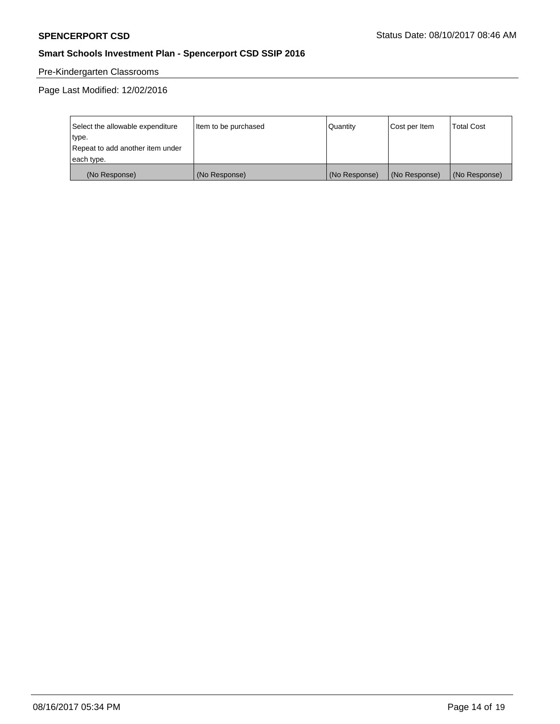# Pre-Kindergarten Classrooms

Page Last Modified: 12/02/2016

| Select the allowable expenditure | Item to be purchased | Quantity      | Cost per Item | <b>Total Cost</b> |
|----------------------------------|----------------------|---------------|---------------|-------------------|
| type.                            |                      |               |               |                   |
| Repeat to add another item under |                      |               |               |                   |
| each type.                       |                      |               |               |                   |
| (No Response)                    | (No Response)        | (No Response) | (No Response) | (No Response)     |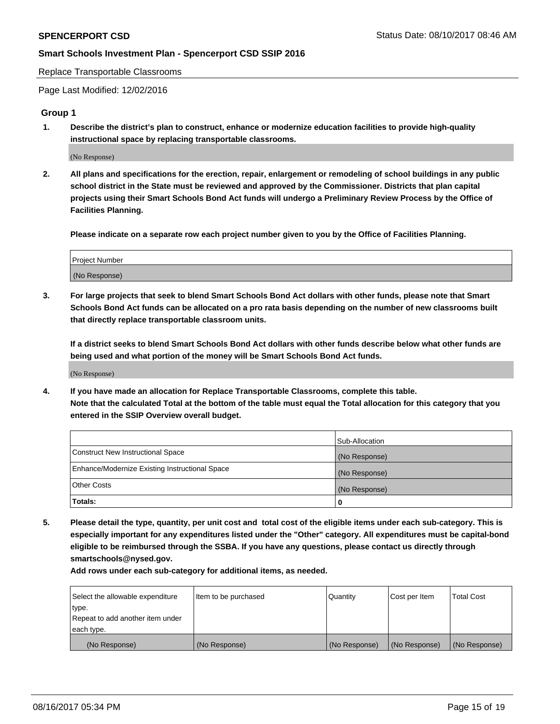Replace Transportable Classrooms

Page Last Modified: 12/02/2016

#### **Group 1**

**1. Describe the district's plan to construct, enhance or modernize education facilities to provide high-quality instructional space by replacing transportable classrooms.**

(No Response)

**2. All plans and specifications for the erection, repair, enlargement or remodeling of school buildings in any public school district in the State must be reviewed and approved by the Commissioner. Districts that plan capital projects using their Smart Schools Bond Act funds will undergo a Preliminary Review Process by the Office of Facilities Planning.**

**Please indicate on a separate row each project number given to you by the Office of Facilities Planning.**

| Project Number |  |
|----------------|--|
| (No Response)  |  |

**3. For large projects that seek to blend Smart Schools Bond Act dollars with other funds, please note that Smart Schools Bond Act funds can be allocated on a pro rata basis depending on the number of new classrooms built that directly replace transportable classroom units.**

**If a district seeks to blend Smart Schools Bond Act dollars with other funds describe below what other funds are being used and what portion of the money will be Smart Schools Bond Act funds.**

(No Response)

**4. If you have made an allocation for Replace Transportable Classrooms, complete this table. Note that the calculated Total at the bottom of the table must equal the Total allocation for this category that you entered in the SSIP Overview overall budget.**

|                                                | Sub-Allocation |
|------------------------------------------------|----------------|
| Construct New Instructional Space              | (No Response)  |
| Enhance/Modernize Existing Instructional Space | (No Response)  |
| Other Costs                                    | (No Response)  |
| Totals:                                        | $\Omega$       |

**5. Please detail the type, quantity, per unit cost and total cost of the eligible items under each sub-category. This is especially important for any expenditures listed under the "Other" category. All expenditures must be capital-bond eligible to be reimbursed through the SSBA. If you have any questions, please contact us directly through smartschools@nysed.gov.**

| Select the allowable expenditure | Item to be purchased | Quantity      | Cost per Item | <b>Total Cost</b> |
|----------------------------------|----------------------|---------------|---------------|-------------------|
| type.                            |                      |               |               |                   |
| Repeat to add another item under |                      |               |               |                   |
| each type.                       |                      |               |               |                   |
| (No Response)                    | (No Response)        | (No Response) | (No Response) | (No Response)     |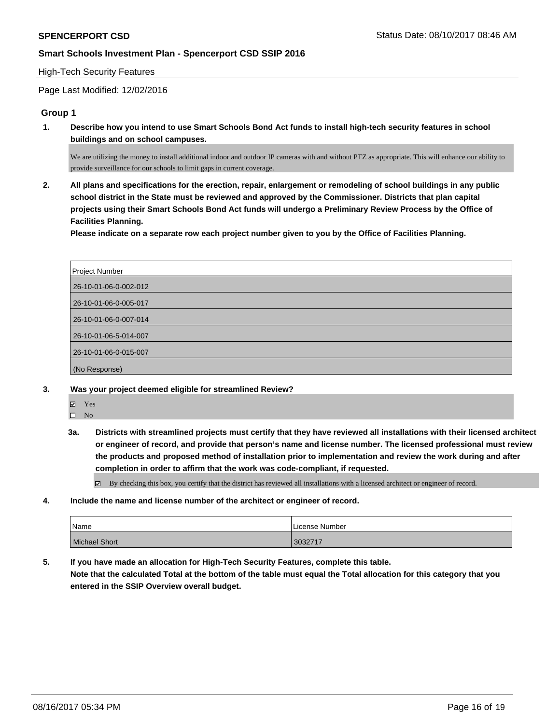#### High-Tech Security Features

Page Last Modified: 12/02/2016

## **Group 1**

**1. Describe how you intend to use Smart Schools Bond Act funds to install high-tech security features in school buildings and on school campuses.**

We are utilizing the money to install additional indoor and outdoor IP cameras with and without PTZ as appropriate. This will enhance our ability to provide surveillance for our schools to limit gaps in current coverage.

**2. All plans and specifications for the erection, repair, enlargement or remodeling of school buildings in any public school district in the State must be reviewed and approved by the Commissioner. Districts that plan capital projects using their Smart Schools Bond Act funds will undergo a Preliminary Review Process by the Office of Facilities Planning.** 

**Please indicate on a separate row each project number given to you by the Office of Facilities Planning.**

| Project Number        |
|-----------------------|
| 26-10-01-06-0-002-012 |
| 26-10-01-06-0-005-017 |
| 26-10-01-06-0-007-014 |
| 26-10-01-06-5-014-007 |
| 26-10-01-06-0-015-007 |
| (No Response)         |

#### **3. Was your project deemed eligible for streamlined Review?**

- Yes
- $\square$  No
- **3a. Districts with streamlined projects must certify that they have reviewed all installations with their licensed architect or engineer of record, and provide that person's name and license number. The licensed professional must review the products and proposed method of installation prior to implementation and review the work during and after completion in order to affirm that the work was code-compliant, if requested.**

By checking this box, you certify that the district has reviewed all installations with a licensed architect or engineer of record.

**4. Include the name and license number of the architect or engineer of record.**

| Name                 | License Number |
|----------------------|----------------|
| <b>Michael Short</b> | 1303271        |

**5. If you have made an allocation for High-Tech Security Features, complete this table. Note that the calculated Total at the bottom of the table must equal the Total allocation for this category that you**

**entered in the SSIP Overview overall budget.**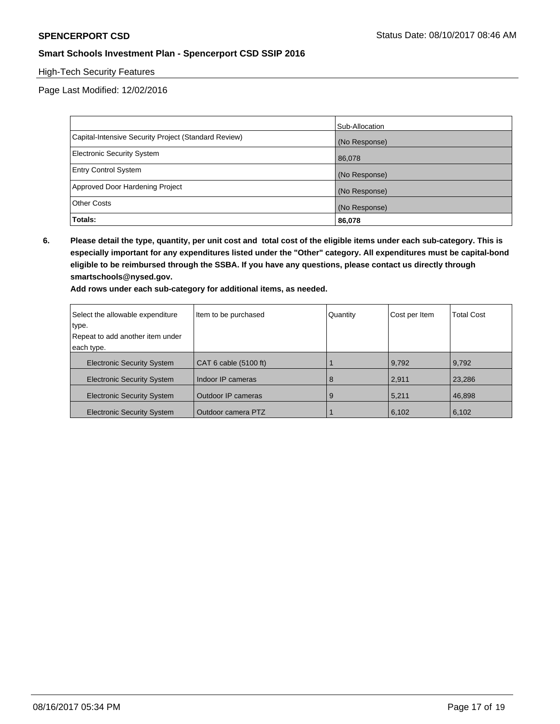# High-Tech Security Features

Page Last Modified: 12/02/2016

|                                                      | Sub-Allocation |
|------------------------------------------------------|----------------|
| Capital-Intensive Security Project (Standard Review) | (No Response)  |
| <b>Electronic Security System</b>                    | 86,078         |
| <b>Entry Control System</b>                          | (No Response)  |
| Approved Door Hardening Project                      | (No Response)  |
| <b>Other Costs</b>                                   | (No Response)  |
| Totals:                                              | 86,078         |

**6. Please detail the type, quantity, per unit cost and total cost of the eligible items under each sub-category. This is especially important for any expenditures listed under the "Other" category. All expenditures must be capital-bond eligible to be reimbursed through the SSBA. If you have any questions, please contact us directly through smartschools@nysed.gov.**

| Select the allowable expenditure  | Item to be purchased      | Quantity | Cost per Item | <b>Total Cost</b> |
|-----------------------------------|---------------------------|----------|---------------|-------------------|
| type.                             |                           |          |               |                   |
| Repeat to add another item under  |                           |          |               |                   |
| each type.                        |                           |          |               |                   |
| <b>Electronic Security System</b> | CAT 6 cable (5100 ft)     |          | 9,792         | 9,792             |
| <b>Electronic Security System</b> | Indoor IP cameras         | 8        | 2,911         | 23.286            |
| <b>Electronic Security System</b> | <b>Outdoor IP cameras</b> | 9        | 5,211         | 46,898            |
| <b>Electronic Security System</b> | Outdoor camera PTZ        |          | 6,102         | 6,102             |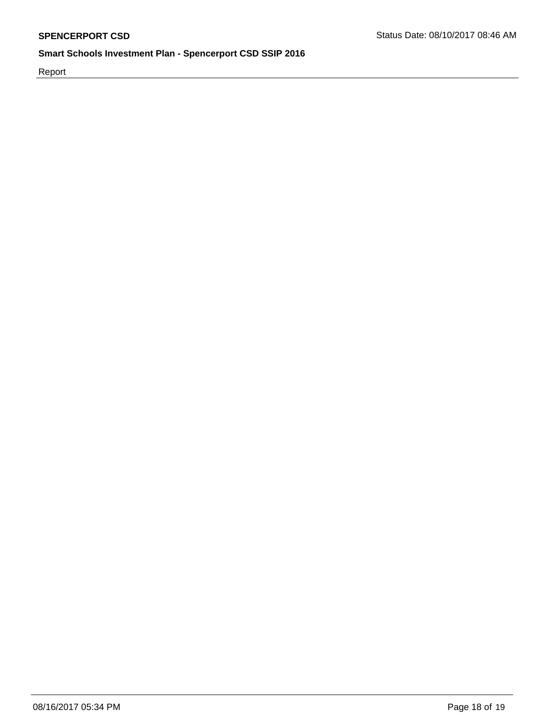Report